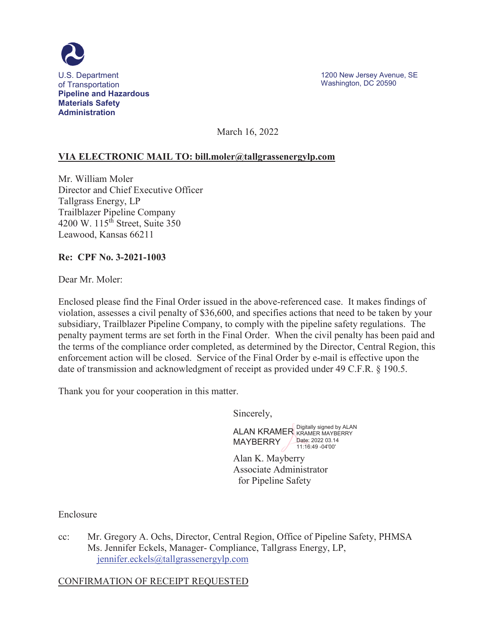

March 16, 2022

### **VIA ELECTRONIC MAIL TO: [bill.moler@tallgrassenergylp.com](mailto:bill.moler@tallgrassenergylp.com)**

Tallgrass Energy, LP **Trailblazer Pipeline Company** Mr. William Moler Director and Chief Executive Officer 4200 W.  $115<sup>th</sup>$  Street, Suite 350 Leawood, Kansas 66211

#### **Re: CPF No. 3-2021-1003**

Dear Mr. Moler:

Enclosed please find the Final Order issued in the above-referenced case. It makes findings of violation, assesses a civil penalty of \$36,600, and specifies actions that need to be taken by your subsidiary, Trailblazer Pipeline Company, to comply with the pipeline safety regulations. The penalty payment terms are set forth in the Final Order. When the civil penalty has been paid and the terms of the compliance order completed, as determined by the Director, Central Region, this enforcement action will be closed. Service of the Final Order by e-mail is effective upon the date of transmission and acknowledgment of receipt as provided under 49 C.F.R. § 190.5.

Thank you for your cooperation in this matter.

Sincerely,



Alan K. Mayberry Associate Administrator for Pipeline Safety

Enclosure

cc: Mr. Gregory A. Ochs, Director, Central Region, Office of Pipeline Safety, PHMSA Ms. Jennifer Eckels, Manager- Compliance, Tallgrass Energy, LP, [jennifer.eckels@tallgrassenergylp.com](mailto:jennifer.eckels@tallgrassenergylp.com) 

CONFIRMATION OF RECEIPT REQUESTED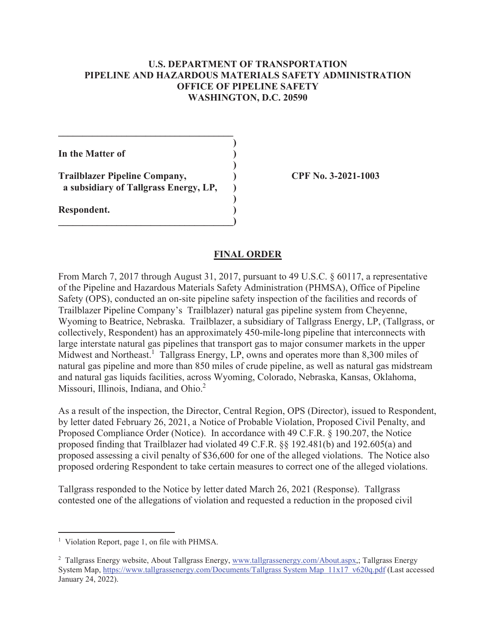### **U.S. DEPARTMENT OF TRANSPORTATION PIPELINE AND HAZARDOUS MATERIALS SAFETY ADMINISTRATION OFFICE OF PIPELINE SAFETY WASHINGTON, D.C. 20590**

**)** 

**)** 

**)** 

In the Matter of  $\qquad \qquad$ )

**Trailblazer Pipeline Company, ) CPF No. 3-2021-1003 a subsidiary of Tallgrass Energy, LP, )** 

**\_\_\_\_\_\_\_\_\_\_\_\_\_\_\_\_\_\_\_\_\_\_\_\_\_\_\_\_\_\_\_\_\_\_\_\_)** 

 $\mathcal{L}=\{1,2,3,4,5\}$ 

**Respondent. )** 

### **FINAL ORDER**

From March 7, 2017 through August 31, 2017, pursuant to 49 U.S.C. § 60117, a representative of the Pipeline and Hazardous Materials Safety Administration (PHMSA), Office of Pipeline Safety (OPS), conducted an on-site pipeline safety inspection of the facilities and records of Trailblazer Pipeline Company's Trailblazer) natural gas pipeline system from Cheyenne, Wyoming to Beatrice, Nebraska. Trailblazer, a subsidiary of Tallgrass Energy, LP, (Tallgrass, or collectively, Respondent) has an approximately 450-mile-long pipeline that interconnects with large interstate natural gas pipelines that transport gas to major consumer markets in the upper Midwest and Northeast.<sup>1</sup> Tallgrass Energy, LP, owns and operates more than 8,300 miles of natural gas pipeline and more than 850 miles of crude pipeline, as well as natural gas midstream and natural gas liquids facilities, across Wyoming, Colorado, Nebraska, Kansas, Oklahoma, Missouri, Illinois, Indiana, and Ohio.<sup>2</sup>

As a result of the inspection, the Director, Central Region, OPS (Director), issued to Respondent, by letter dated February 26, 2021, a Notice of Probable Violation, Proposed Civil Penalty, and Proposed Compliance Order (Notice). In accordance with 49 C.F.R. § 190.207, the Notice proposed finding that Trailblazer had violated 49 C.F.R. §§ 192.481(b) and 192.605(a) and proposed assessing a civil penalty of \$36,600 for one of the alleged violations. The Notice also proposed ordering Respondent to take certain measures to correct one of the alleged violations.

Tallgrass responded to the Notice by letter dated March 26, 2021 (Response). Tallgrass contested one of the allegations of violation and requested a reduction in the proposed civil

<sup>&</sup>lt;sup>1</sup> Violation Report, page 1, on file with PHMSA.

<sup>&</sup>lt;sup>2</sup> Tallgrass Energy website, About Tallgrass Energy, [www.tallgrassenergy.com/About.aspx,](www.tallgrassenergy.com/About.aspx); Tallgrass Energy System Map,<https://www.tallgrassenergy.com/Documents/Tallgrass> System Map 11x17 v620q.pdf (Last accessed January 24, 2022).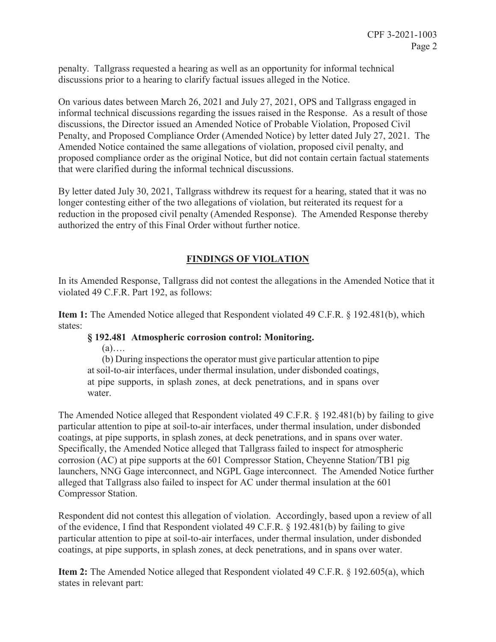penalty. Tallgrass requested a hearing as well as an opportunity for informal technical discussions prior to a hearing to clarify factual issues alleged in the Notice.

On various dates between March 26, 2021 and July 27, 2021, OPS and Tallgrass engaged in informal technical discussions regarding the issues raised in the Response. As a result of those discussions, the Director issued an Amended Notice of Probable Violation, Proposed Civil Penalty, and Proposed Compliance Order (Amended Notice) by letter dated July 27, 2021. The Amended Notice contained the same allegations of violation, proposed civil penalty, and proposed compliance order as the original Notice, but did not contain certain factual statements that were clarified during the informal technical discussions.

By letter dated July 30, 2021, Tallgrass withdrew its request for a hearing, stated that it was no longer contesting either of the two allegations of violation, but reiterated its request for a reduction in the proposed civil penalty (Amended Response). The Amended Response thereby authorized the entry of this Final Order without further notice.

# **FINDINGS OF VIOLATION**

In its Amended Response, Tallgrass did not contest the allegations in the Amended Notice that it violated 49 C.F.R. Part 192, as follows:

**Item 1:** The Amended Notice alleged that Respondent violated 49 C.F.R. § 192.481(b), which states:

#### **§ 192.481 Atmospheric corrosion control: Monitoring.**

 $(a)$ ….

(b) During inspections the operator must give particular attention to pipe at soil-to-air interfaces, under thermal insulation, under disbonded coatings, at pipe supports, in splash zones, at deck penetrations, and in spans over water.

The Amended Notice alleged that Respondent violated 49 C.F.R.  $\S$  192.481(b) by failing to give particular attention to pipe at soil-to-air interfaces, under thermal insulation, under disbonded coatings, at pipe supports, in splash zones, at deck penetrations, and in spans over water. Specifically, the Amended Notice alleged that Tallgrass failed to inspect for atmospheric corrosion (AC) at pipe supports at the 601 Compressor Station, Cheyenne Station/TB1 pig launchers, NNG Gage interconnect, and NGPL Gage interconnect. The Amended Notice further alleged that Tallgrass also failed to inspect for AC under thermal insulation at the 601 Compressor Station.

Respondent did not contest this allegation of violation. Accordingly, based upon a review of all of the evidence, I find that Respondent violated 49 C.F.R. § 192.481(b) by failing to give particular attention to pipe at soil-to-air interfaces, under thermal insulation, under disbonded coatings, at pipe supports, in splash zones, at deck penetrations, and in spans over water.

**Item 2:** The Amended Notice alleged that Respondent violated 49 C.F.R. § 192.605(a), which states in relevant part: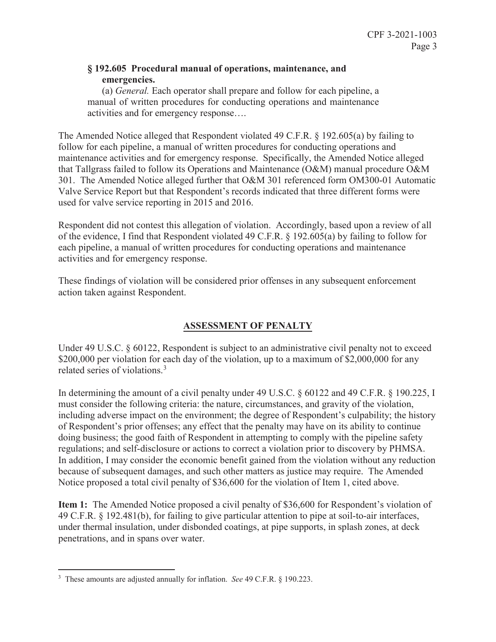### **§ 192.605 Procedural manual of operations, maintenance, and emergencies.**

 activities and for emergency response…. (a) *General.* Each operator shall prepare and follow for each pipeline, a manual of written procedures for conducting operations and maintenance

The Amended Notice alleged that Respondent violated 49 C.F.R.  $\S$  192.605(a) by failing to follow for each pipeline, a manual of written procedures for conducting operations and maintenance activities and for emergency response. Specifically, the Amended Notice alleged that Tallgrass failed to follow its Operations and Maintenance (O&M) manual procedure O&M 301. The Amended Notice alleged further that O&M 301 referenced form OM300-01 Automatic Valve Service Report but that Respondent's records indicated that three different forms were used for valve service reporting in 2015 and 2016.

Respondent did not contest this allegation of violation. Accordingly, based upon a review of all of the evidence, I find that Respondent violated 49 C.F.R. § 192.605(a) by failing to follow for each pipeline, a manual of written procedures for conducting operations and maintenance activities and for emergency response.

These findings of violation will be considered prior offenses in any subsequent enforcement action taken against Respondent.

# **ASSESSMENT OF PENALTY**

related series of violations.<sup>3</sup> Under 49 U.S.C. § 60122, Respondent is subject to an administrative civil penalty not to exceed \$200,000 per violation for each day of the violation, up to a maximum of \$2,000,000 for any

In determining the amount of a civil penalty under 49 U.S.C. § 60122 and 49 C.F.R. § 190.225, I must consider the following criteria: the nature, circumstances, and gravity of the violation, including adverse impact on the environment; the degree of Respondent's culpability; the history of Respondent's prior offenses; any effect that the penalty may have on its ability to continue doing business; the good faith of Respondent in attempting to comply with the pipeline safety regulations; and self-disclosure or actions to correct a violation prior to discovery by PHMSA. In addition, I may consider the economic benefit gained from the violation without any reduction because of subsequent damages, and such other matters as justice may require. The Amended Notice proposed a total civil penalty of \$36,600 for the violation of Item 1, cited above.

**Item 1:** The Amended Notice proposed a civil penalty of \$36,600 for Respondent's violation of 49 C.F.R. § 192.481(b), for failing to give particular attention to pipe at soil-to-air interfaces, under thermal insulation, under disbonded coatings, at pipe supports, in splash zones, at deck penetrations, and in spans over water.

<sup>3</sup> These amounts are adjusted annually for inflation. *See* 49 C.F.R. § 190.223.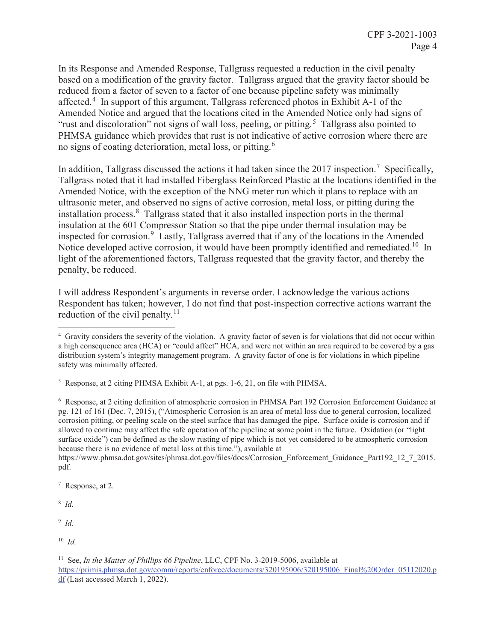no signs of coating deterioration, metal loss, or pitting.<sup>6</sup> In its Response and Amended Response, Tallgrass requested a reduction in the civil penalty based on a modification of the gravity factor. Tallgrass argued that the gravity factor should be reduced from a factor of seven to a factor of one because pipeline safety was minimally affected.<sup>4</sup> In support of this argument, Tallgrass referenced photos in Exhibit A-1 of the Amended Notice and argued that the locations cited in the Amended Notice only had signs of "rust and discoloration" not signs of wall loss, peeling, or pitting.<sup>5</sup> Tallgrass also pointed to PHMSA guidance which provides that rust is not indicative of active corrosion where there are

inspected for corrosion.<sup>9</sup> Lastly, Tallgrass averred that if any of the locations in the Amended Notice developed active corrosion, it would have been promptly identified and remediated.<sup>10</sup> In In addition, Tallgrass discussed the actions it had taken since the 2017 inspection.<sup>7</sup> Specifically, Tallgrass noted that it had installed Fiberglass Reinforced Plastic at the locations identified in the Amended Notice, with the exception of the NNG meter run which it plans to replace with an ultrasonic meter, and observed no signs of active corrosion, metal loss, or pitting during the installation process.8 Tallgrass stated that it also installed inspection ports in the thermal insulation at the 601 Compressor Station so that the pipe under thermal insulation may be light of the aforementioned factors, Tallgrass requested that the gravity factor, and thereby the penalty, be reduced.

reduction of the civil [penalty.](https://penalty.11) $11$ I will address Respondent's arguments in reverse order. I acknowledge the various actions Respondent has taken; however, I do not find that post-inspection corrective actions warrant the

<sup>6</sup> Response, at 2 citing definition of atmospheric corrosion in PHMSA Part 192 Corrosion Enforcement Guidance at pg. 121 of 161 (Dec. 7, 2015), ("Atmospheric Corrosion is an area of metal loss due to general corrosion, localized corrosion pitting, or peeling scale on the steel surface that has damaged the pipe. Surface oxide is corrosion and if allowed to continue may affect the safe operation of the pipeline at some point in the future. Oxidation (or "light surface oxide") can be defined as the slow rusting of pipe which is not yet considered to be atmospheric corrosion because there is no evidence of metal loss at this time."), available at

[https://www.phmsa.dot.gov/sites/phmsa.dot.gov/files/docs/Corrosion\\_Enforcement\\_Guidance\\_Part192\\_12\\_7\\_2015](https://www.phmsa.dot.gov/sites/phmsa.dot.gov/files/docs/Corrosion_Enforcement_Guidance_Part192_12_7_2015). pdf.

7 Response, at 2.

<sup>8</sup>*Id.* 

<sup>9</sup>*Id.* 

 4 Gravity considers the severity of the violation. A gravity factor of seven is for violations that did not occur within distribution system's integrity management program. A gravity factor of one is for violations in which pipeline safety was minimally affected. a high consequence area (HCA) or "could affect" HCA, and were not within an area required to be covered by a gas

<sup>&</sup>lt;sup>5</sup> Response, at 2 citing PHMSA Exhibit A-1, at pgs. 1-6, 21, on file with PHMSA.

 <sup>10</sup>*Id.*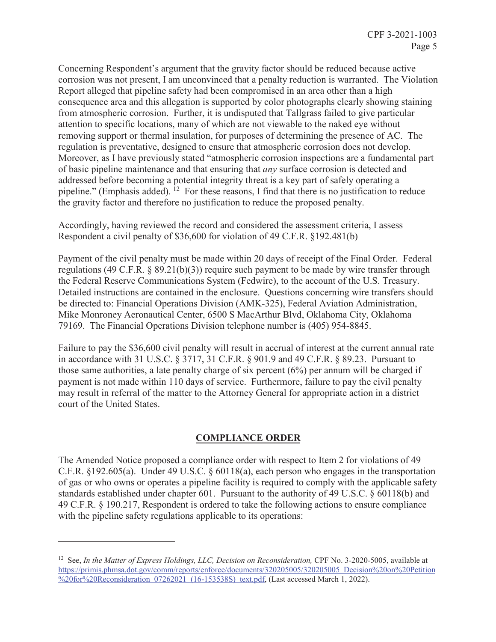Moreover, as I have previously stated "atmospheric corrosion inspections are a fundamental part of basic pipeline maintenance and that ensuring that *any* surface corrosion is detected and Concerning Respondent's argument that the gravity factor should be reduced because active corrosion was not present, I am unconvinced that a penalty reduction is warranted. The Violation Report alleged that pipeline safety had been compromised in an area other than a high consequence area and this allegation is supported by color photographs clearly showing staining from atmospheric corrosion. Further, it is undisputed that Tallgrass failed to give particular attention to specific locations, many of which are not viewable to the naked eye without removing support or thermal insulation, for purposes of determining the presence of AC. The regulation is preventative, designed to ensure that atmospheric corrosion does not develop. addressed before becoming a potential integrity threat is a key part of safely operating a pipeline." (Emphasis added).  $^{12}$  For these reasons, I find that there is no justification to reduce the gravity factor and therefore no justification to reduce the proposed penalty.

Accordingly, having reviewed the record and considered the assessment criteria, I assess Respondent a civil penalty of \$36,600 for violation of 49 C.F.R. §192.481(b)

Payment of the civil penalty must be made within 20 days of receipt of the Final Order. Federal regulations (49 C.F.R. § 89.21(b)(3)) require such payment to be made by wire transfer through the Federal Reserve Communications System (Fedwire), to the account of the U.S. Treasury. Detailed instructions are contained in the enclosure. Questions concerning wire transfers should be directed to: Financial Operations Division (AMK-325), Federal Aviation Administration, Mike Monroney Aeronautical Center, 6500 S MacArthur Blvd, Oklahoma City, Oklahoma 79169. The Financial Operations Division telephone number is (405) 954-8845.

Failure to pay the \$36,600 civil penalty will result in accrual of interest at the current annual rate in accordance with 31 U.S.C. § 3717, 31 C.F.R. § 901.9 and 49 C.F.R. § 89.23. Pursuant to those same authorities, a late penalty charge of six percent (6%) per annum will be charged if payment is not made within 110 days of service. Furthermore, failure to pay the civil penalty may result in referral of the matter to the Attorney General for appropriate action in a district court of the United States.

## **COMPLIANCE ORDER**

The Amended Notice proposed a compliance order with respect to Item 2 for violations of 49 C.F.R. §192.605(a). Under 49 U.S.C. § 60118(a), each person who engages in the transportation of gas or who owns or operates a pipeline facility is required to comply with the applicable safety standards established under chapter 601. Pursuant to the authority of 49 U.S.C. § 60118(b) and 49 C.F.R. § 190.217, Respondent is ordered to take the following actions to ensure compliance with the pipeline safety regulations applicable to its operations:

<sup>&</sup>lt;sup>12</sup> See, *In the Matter of Express Holdings, LLC, Decision on Reconsideration, CPF No. 3-2020-5005, available at* <https://primis.phmsa.dot.gov/comm/reports/enforce/documents/320205005/320205005>Decision%20on%20Petition %20for%20Reconsideration 07262021 (16-153538S) text.pdf, (Last accessed March 1, 2022).